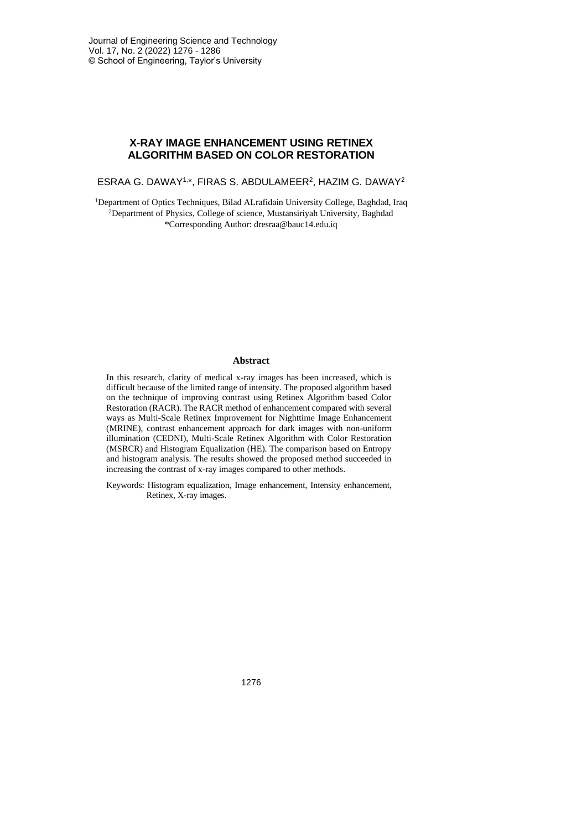# **X-RAY IMAGE ENHANCEMENT USING RETINEX ALGORITHM BASED ON COLOR RESTORATION**

ESRAA G. DAWAY1, \*, FIRAS S. ABDULAMEER<sup>2</sup> , HAZIM G. DAWAY<sup>2</sup>

<sup>1</sup>Department of Optics Techniques, Bilad ALrafidain University College, Baghdad, Iraq <sup>2</sup>Department of Physics, College of science, Mustansiriyah University, Baghdad \*Corresponding Author: dresraa@bauc14.edu.iq

### **Abstract**

In this research, clarity of medical x-ray images has been increased, which is difficult because of the limited range of intensity. The proposed algorithm based on the technique of improving contrast using Retinex Algorithm based Color Restoration (RACR). The RACR method of enhancement compared with several ways as Multi-Scale Retinex Improvement for Nighttime Image Enhancement (MRINE), contrast enhancement approach for dark images with non-uniform illumination (CEDNI), Multi-Scale Retinex Algorithm with Color Restoration (MSRCR) and Histogram Equalization (HE). The comparison based on Entropy and histogram analysis. The results showed the proposed method succeeded in increasing the contrast of x-ray images compared to other methods.

Keywords: Histogram equalization, Image enhancement, Intensity enhancement, Retinex, X-ray images.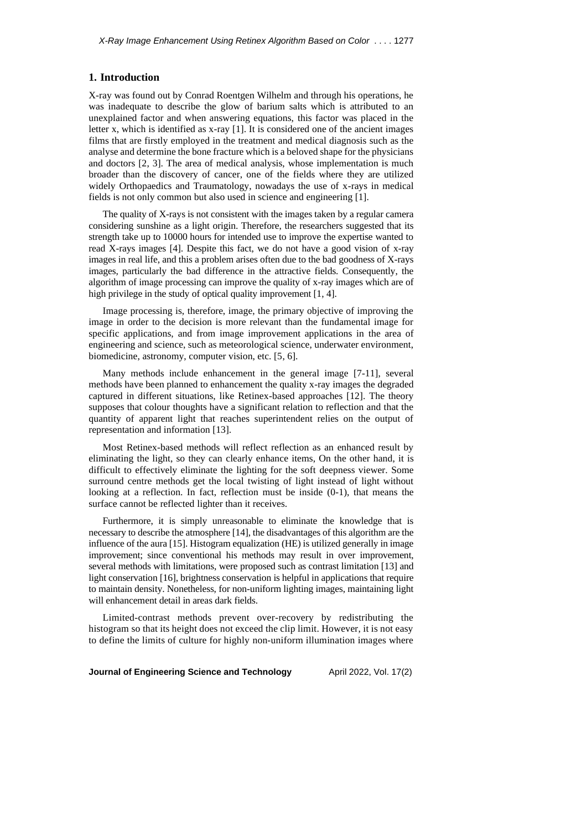#### **1. Introduction**

X-ray was found out by Conrad Roentgen Wilhelm and through his operations, he was inadequate to describe the glow of barium salts which is attributed to an unexplained factor and when answering equations, this factor was placed in the letter x, which is identified as x-ray [1]. It is considered one of the ancient images films that are firstly employed in the treatment and medical diagnosis such as the analyse and determine the bone fracture which is a beloved shape for the physicians and doctors [2, 3]. The area of medical analysis, whose implementation is much broader than the discovery of cancer, one of the fields where they are utilized widely Orthopaedics and Traumatology, nowadays the use of x-rays in medical fields is not only common but also used in science and engineering [1].

The quality of X-rays is not consistent with the images taken by a regular camera considering sunshine as a light origin. Therefore, the researchers suggested that its strength take up to 10000 hours for intended use to improve the expertise wanted to read X-rays images [4]. Despite this fact, we do not have a good vision of x-ray images in real life, and this a problem arises often due to the bad goodness of X-rays images, particularly the bad difference in the attractive fields. Consequently, the algorithm of image processing can improve the quality of x-ray images which are of high privilege in the study of optical quality improvement [1, 4].

Image processing is, therefore, image, the primary objective of improving the image in order to the decision is more relevant than the fundamental image for specific applications, and from image improvement applications in the area of engineering and science, such as meteorological science, underwater environment, biomedicine, astronomy, computer vision, etc. [5, 6].

Many methods include enhancement in the general image [7-11], several methods have been planned to enhancement the quality x-ray images the degraded captured in different situations, like Retinex-based approaches [12]. The theory supposes that colour thoughts have a significant relation to reflection and that the quantity of apparent light that reaches superintendent relies on the output of representation and information [13].

Most Retinex-based methods will reflect reflection as an enhanced result by eliminating the light, so they can clearly enhance items, On the other hand, it is difficult to effectively eliminate the lighting for the soft deepness viewer. Some surround centre methods get the local twisting of light instead of light without looking at a reflection. In fact, reflection must be inside (0-1), that means the surface cannot be reflected lighter than it receives.

Furthermore, it is simply unreasonable to eliminate the knowledge that is necessary to describe the atmosphere [14], the disadvantages of this algorithm are the influence of the aura [15]. Histogram equalization (HE) is utilized generally in image improvement; since conventional his methods may result in over improvement, several methods with limitations, were proposed such as contrast limitation [13] and light conservation [16], brightness conservation is helpful in applications that require to maintain density. Nonetheless, for non-uniform lighting images, maintaining light will enhancement detail in areas dark fields.

Limited-contrast methods prevent over-recovery by redistributing the histogram so that its height does not exceed the clip limit. However, it is not easy to define the limits of culture for highly non-uniform illumination images where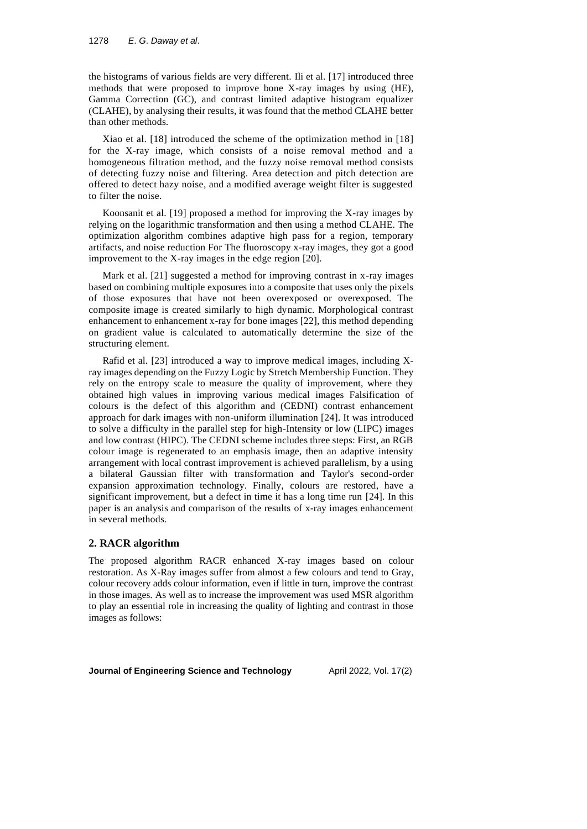the histograms of various fields are very different. Ili et al. [17] introduced three methods that were proposed to improve bone X-ray images by using (HE), Gamma Correction (GC), and contrast limited adaptive histogram equalizer (CLAHE), by analysing their results, it was found that the method CLAHE better than other methods.

Xiao et al. [18] introduced the scheme of the optimization method in [18] for the X-ray image, which consists of a noise removal method and a homogeneous filtration method, and the fuzzy noise removal method consists of detecting fuzzy noise and filtering. Area detection and pitch detection are offered to detect hazy noise, and a modified average weight filter is suggested to filter the noise.

Koonsanit et al. [19] proposed a method for improving the X-ray images by relying on the logarithmic transformation and then using a method CLAHE. The optimization algorithm combines adaptive high pass for a region, temporary artifacts, and noise reduction For The fluoroscopy x-ray images, they got a good improvement to the X-ray images in the edge region [20].

Mark et al. [21] suggested a method for improving contrast in x-ray images based on combining multiple exposures into a composite that uses only the pixels of those exposures that have not been overexposed or overexposed. The composite image is created similarly to high dynamic. Morphological contrast enhancement to enhancement x-ray for bone images [22], this method depending on gradient value is calculated to automatically determine the size of the structuring element.

Rafid et al. [23] introduced a way to improve medical images, including Xray images depending on the Fuzzy Logic by Stretch Membership Function. They rely on the entropy scale to measure the quality of improvement, where they obtained high values in improving various medical images Falsification of colours is the defect of this algorithm and (CEDNI) contrast enhancement approach for dark images with non-uniform illumination [24]. It was introduced to solve a difficulty in the parallel step for high-Intensity or low (LIPC) images and low contrast (HIPC). The CEDNI scheme includes three steps: First, an RGB colour image is regenerated to an emphasis image, then an adaptive intensity arrangement with local contrast improvement is achieved parallelism, by a using a bilateral Gaussian filter with transformation and Taylor's second-order expansion approximation technology. Finally, colours are restored, have a significant improvement, but a defect in time it has a long time run [24]. In this paper is an analysis and comparison of the results of x-ray images enhancement in several methods.

#### **2. RACR algorithm**

The proposed algorithm RACR enhanced X-ray images based on colour restoration. As X-Ray images suffer from almost a few colours and tend to Gray, colour recovery adds colour information, even if little in turn, improve the contrast in those images. As well as to increase the improvement was used MSR algorithm to play an essential role in increasing the quality of lighting and contrast in those images as follows: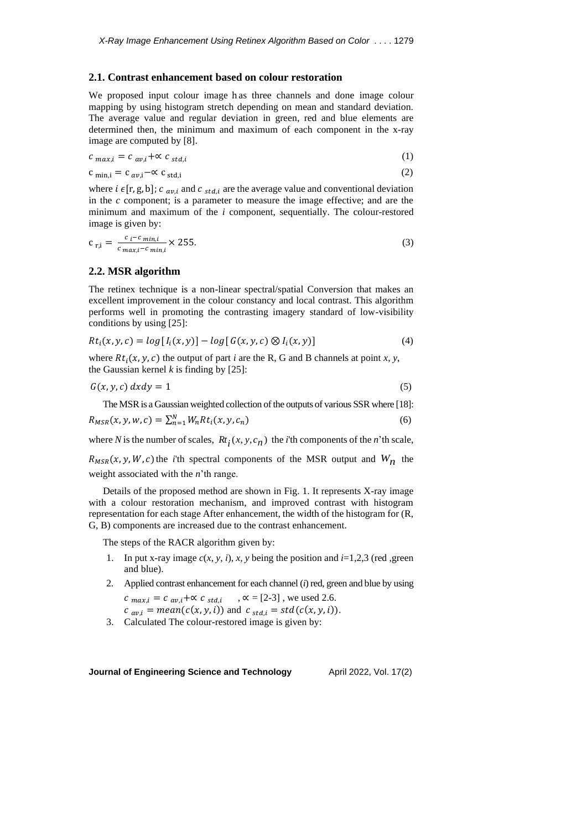#### **2.1. Contrast enhancement based on colour restoration**

We proposed input colour image h as three channels and done image colour mapping by using histogram stretch depending on mean and standard deviation. The average value and regular deviation in green, red and blue elements are determined then, the minimum and maximum of each component in the x-ray image are computed by [8].

$$
c_{max,i} = c_{av,i} + \alpha c_{std,i} \tag{1}
$$

$$
c_{\min,i} = c_{\alpha v,i} - \alpha c_{\text{std},i} \tag{2}
$$

where  $i \in [r, g, b]$ ;  $c_{av,i}$  and  $c_{std,i}$  are the average value and conventional deviation in the *c* component; is a parameter to measure the image effective; and are the minimum and maximum of the *i* component, sequentially. The colour-restored image is given by:

$$
c_{r,i} = \frac{c_i - c_{min,i}}{c_{max,i} - c_{min,i}} \times 255.
$$
 (3)

#### **2.2. MSR algorithm**

The retinex technique is a non-linear spectral/spatial Conversion that makes an excellent improvement in the colour constancy and local contrast. This algorithm performs well in promoting the contrasting imagery standard of low-visibility conditions by using [25]:

$$
Rt_i(x, y, c) = log[I_i(x, y)] - log[G(x, y, c) \otimes I_i(x, y)] \qquad (4)
$$

where  $Rt_i(x, y, c)$  the output of part *i* are the R, G and B channels at point *x*, *y*, the Gaussian kernel  $k$  is finding by  $[25]$ :

$$
G(x, y, c) \, dx \, dy = 1 \tag{5}
$$

The MSR is a Gaussian weighted collection of the outputs of various SSR where [18]:

$$
R_{MSR}(x, y, w, c) = \sum_{n=1}^{N} W_n R t_i(x, y, c_n)
$$
\n(6)

where *N* is the number of scales,  $R_t$  (*x*, *y*, *c*<sub>*n*</sub>) the *i*'th components of the *n*'th scale,

 $R_{MSR}(x, y, W, c)$  the *i*'th spectral components of the MSR output and  $W_n$  the weight associated with the *n*'th range.

Details of the proposed method are shown in Fig. 1. It represents X-ray image with a colour restoration mechanism, and improved contrast with histogram representation for each stage After enhancement, the width of the histogram for (R, G, B) components are increased due to the contrast enhancement.

The steps of the RACR algorithm given by:

- 1. In put x-ray image  $c(x, y, i)$ ,  $x, y$  being the position and  $i=1,2,3$  (red ,green and blue).
- 2. Applied contrast enhancement for each channel (*i*) red, green and blue by using  $c_{max,i} = c_{av,i} + \alpha c_{std,i}$ ,  $\alpha = [2-3]$ , we used 2.6.
	- $c_{av,i} = mean(c(x, y, i))$  and  $c_{std,i} = std(c(x, y, i)).$
- 3. Calculated The colour-restored image is given by: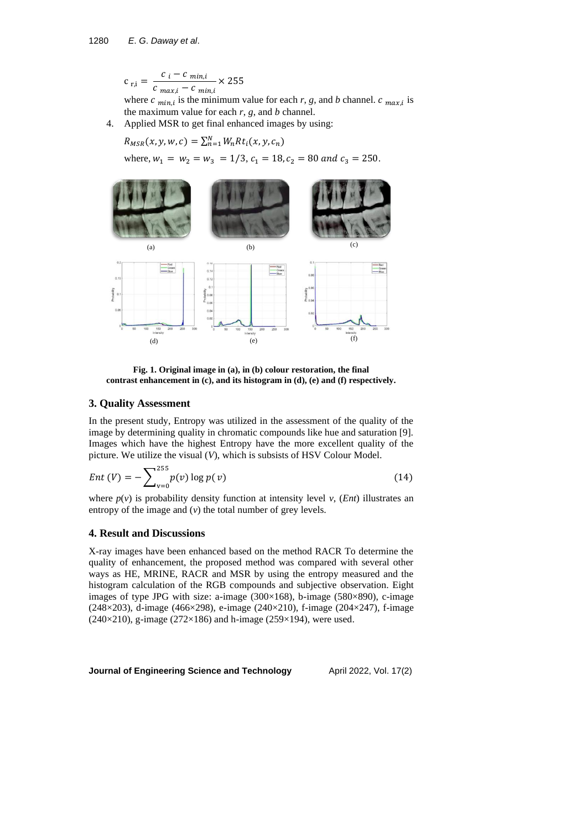$$
c_{r,i} = \frac{c_i - c_{min,i}}{c_{max,i} - c_{min,i}} \times 255
$$

where  $c_{min,i}$  is the minimum value for each  $r, g$ , and  $b$  channel.  $c_{max,i}$  is the maximum value for each  $r$ ,  $g$ , and  $b$  channel.

4. Applied MSR to get final enhanced images by using:

 $R_{MSR}(x, y, w, c) = \sum_{n=1}^{N} W_n R t_i(x, y, c_n)$ 

where,  $w_1 = w_2 = w_3 = 1/3$ ,  $c_1 = 18$ ,  $c_2 = 80$  and  $c_3 = 250$ .



**Fig. 1. Original image in (a), in (b) colour restoration, the final contrast enhancement in (c), and its histogram in (d), (e) and (f) respectively.**

### **3. Quality Assessment**

In the present study, Entropy was utilized in the assessment of the quality of the image by determining quality in chromatic compounds like hue and saturation [9]. Images which have the highest Entropy have the more excellent quality of the picture. We utilize the visual (*V*), which is subsists of HSV Colour Model.

$$
Ent(V) = -\sum_{v=0}^{255} p(v) \log p(v)
$$
 (14)

where  $p(v)$  is probability density function at intensity level *v*, (*Ent*) illustrates an entropy of the image and (*v*) the total number of grey levels.

# **4. Result and Discussions**

X-ray images have been enhanced based on the method RACR To determine the quality of enhancement, the proposed method was compared with several other ways as HE, MRINE, RACR and MSR by using the entropy measured and the histogram calculation of the RGB compounds and subjective observation. Eight images of type JPG with size: a-image  $(300\times168)$ , b-image  $(580\times890)$ , c-image (248×203), d-image (466×298), e-image (240×210), f-image (204×247), f-image (240×210), g-image (272×186) and h-image (259×194), were used.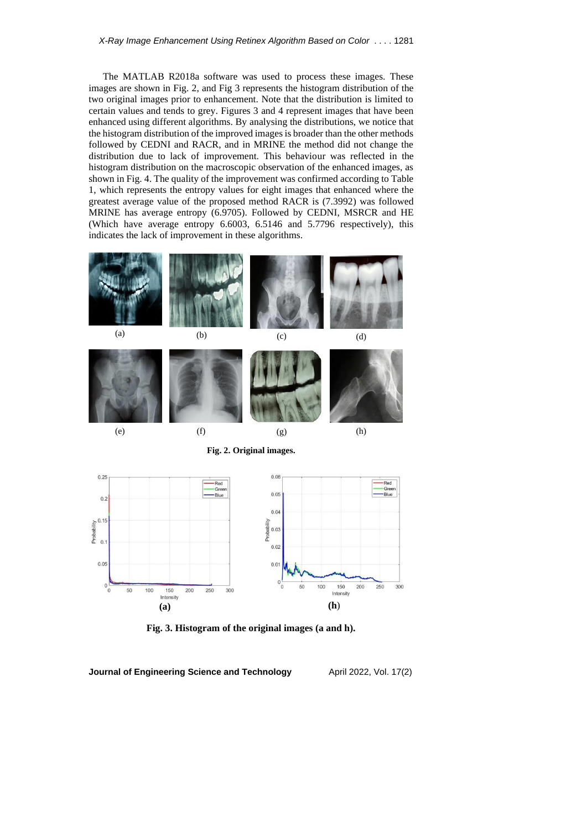The MATLAB R2018a software was used to process these images. These images are shown in Fig. 2, and Fig 3 represents the histogram distribution of the two original images prior to enhancement. Note that the distribution is limited to certain values and tends to grey. Figures 3 and 4 represent images that have been enhanced using different algorithms. By analysing the distributions, we notice that the histogram distribution of the improved images is broader than the other methods followed by CEDNI and RACR, and in MRINE the method did not change the distribution due to lack of improvement. This behaviour was reflected in the histogram distribution on the macroscopic observation of the enhanced images, as shown in Fig. 4. The quality of the improvement was confirmed according to Table 1, which represents the entropy values for eight images that enhanced where the greatest average value of the proposed method RACR is (7.3992) was followed MRINE has average entropy (6.9705). Followed by CEDNI, MSRCR and HE (Which have average entropy 6.6003, 6.5146 and 5.7796 respectively), this indicates the lack of improvement in these algorithms.





**Fig. 3. Histogram of the original images (a and h).**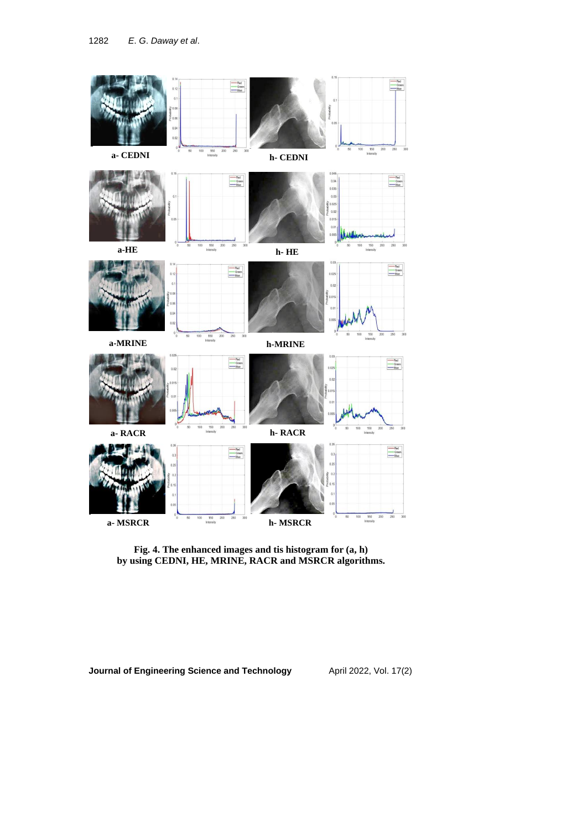

**Fig. 4. The enhanced images and tis histogram for (a, h) by using CEDNI, HE, MRINE, RACR and MSRCR algorithms.**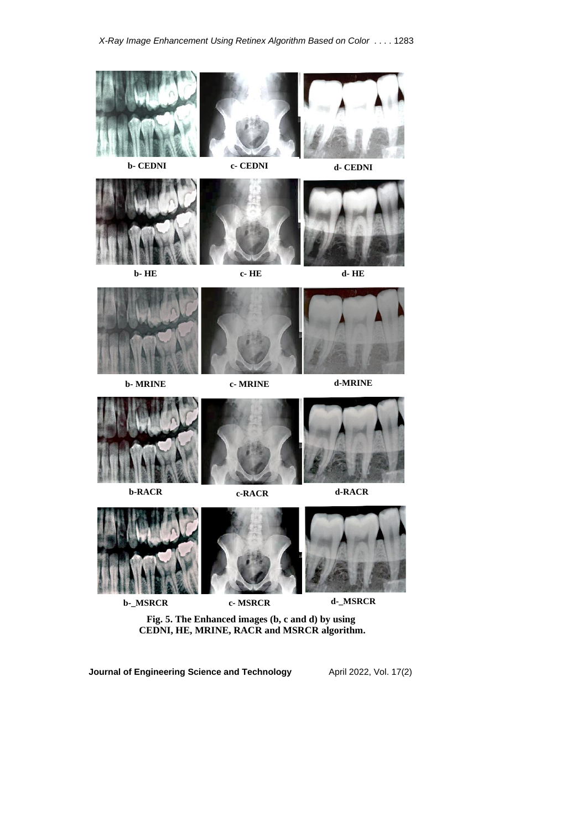





**Fig. 5. The Enhanced images (b, c and d) by using CEDNI, HE, MRINE, RACR and MSRCR algorithm.**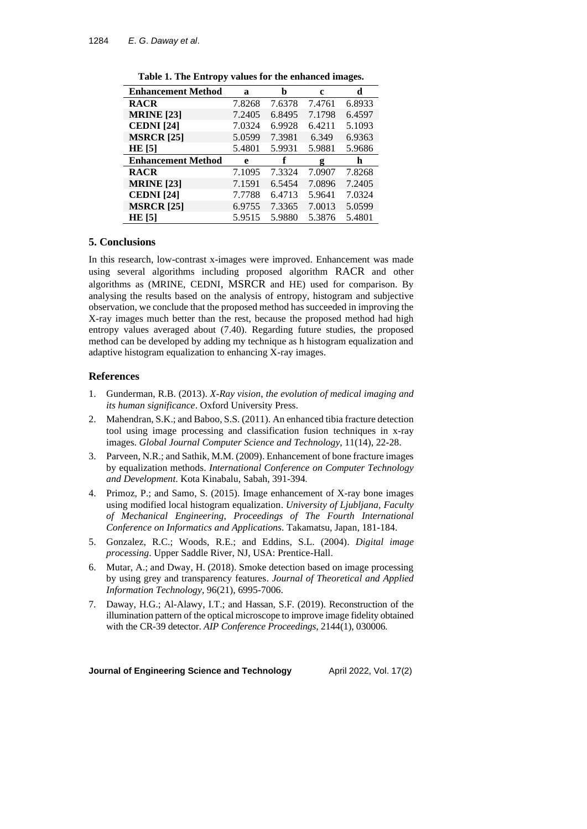| <b>Enhancement Method</b> | a      | b      | c      | d      |
|---------------------------|--------|--------|--------|--------|
| <b>RACR</b>               | 7.8268 | 7.6378 | 7.4761 | 6.8933 |
| <b>MRINE</b> [23]         | 7.2405 | 6.8495 | 7.1798 | 6.4597 |
| <b>CEDNI</b> [24]         | 7.0324 | 6.9928 | 6.4211 | 5.1093 |
| <b>MSRCR</b> [25]         | 5.0599 | 7.3981 | 6.349  | 6.9363 |
| HE[5]                     | 5.4801 | 5.9931 | 5.9881 | 5.9686 |
| <b>Enhancement Method</b> | e      | f      | g      | h      |
| <b>RACR</b>               | 7.1095 | 7.3324 | 7.0907 | 7.8268 |
| <b>MRINE</b> [23]         | 7.1591 | 6.5454 | 7.0896 | 7.2405 |
| <b>CEDNI</b> [24]         | 7.7788 | 6.4713 | 5.9641 | 7.0324 |
| <b>MSRCR</b> [25]         | 6.9755 | 7.3365 | 7.0013 | 5.0599 |
| <b>HE</b> [5]             | 5.9515 | 5.9880 | 5.3876 | 5.4801 |

**Table 1. The Entropy values for the enhanced images.**

### **5. Conclusions**

In this research, low-contrast x-images were improved. Enhancement was made using several algorithms including proposed algorithm RACR and other algorithms as (MRINE, CEDNI, MSRCR and HE) used for comparison. By analysing the results based on the analysis of entropy, histogram and subjective observation, we conclude that the proposed method has succeeded in improving the X-ray images much better than the rest, because the proposed method had high entropy values averaged about (7.40). Regarding future studies, the proposed method can be developed by adding my technique as h histogram equalization and adaptive histogram equalization to enhancing X-ray images.

# **References**

- 1. Gunderman, R.B. (2013). *X-Ray vision*, *the evolution of medical imaging and its human significance*. Oxford University Press.
- 2. Mahendran, S.K.; and Baboo, S.S. (2011). An enhanced tibia fracture detection tool using image processing and classification fusion techniques in x-ray images. *Global Journal Computer Science and Technology*, 11(14), 22-28.
- 3. Parveen, N.R.; and Sathik, M.M. (2009). Enhancement of bone fracture images by equalization methods. *International Conference on Computer Technology and Development*. Kota Kinabalu, Sabah, 391-394 .
- 4. Primoz, P.; and Samo, S. (2015). Image enhancement of X-ray bone images using modified local histogram equalization. *University of Ljubljana*, *Faculty of Mechanical Engineering*, *Proceedings of The Fourth International Conference on Informatics and Applications*. Takamatsu, Japan, 181-184.
- 5. Gonzalez, R.C.; Woods, R.E.; and Eddins, S.L. (2004). *Digital image processing*. Upper Saddle River, NJ, USA: Prentice-Hall .
- 6. Mutar, A.; and Dway, H. (2018). Smoke detection based on image processing by using grey and transparency features. *Journal of Theoretical and Applied Information Technology*, 96(21), 6995-7006.
- 7. Daway, H.G.; Al-Alawy, I.T.; and Hassan, S.F. (2019). Reconstruction of the illumination pattern of the optical microscope to improve image fidelity obtained with the CR-39 detector. *AIP Conference Proceedings*, 2144(1), 030006 .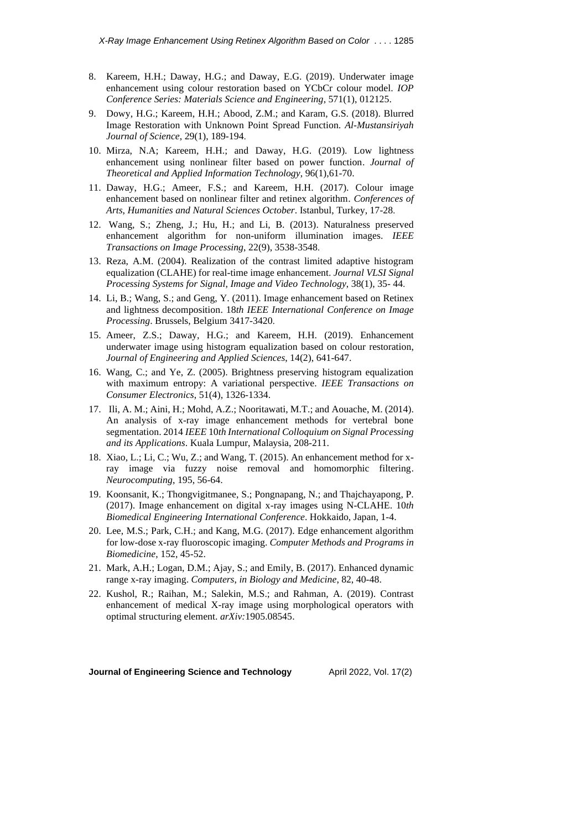- 8. Kareem, H.H.; Daway, H.G.; and Daway, E.G. (2019). Underwater image enhancement using colour restoration based on YCbCr colour model. *IOP Conference Series: Materials Science and Engineering*, 571(1), 012125.
- 9. Dowy, H.G.; Kareem, H.H.; Abood, Z.M.; and Karam, G.S. (2018). Blurred Image Restoration with Unknown Point Spread Function. *Al-Mustansiriyah Journal of Science*, 29(1), 189-194 .
- 10. Mirza, N.A; Kareem, H.H.; and Daway, H.G. (2019). Low lightness enhancement using nonlinear filter based on power function. *Journal of Theoretical and Applied Information Technology*, 96(1),61-70.
- 11. Daway, H.G.; Ameer, F.S.; and Kareem, H.H. (2017). Colour image enhancement based on nonlinear filter and retinex algorithm. *Conferences of Arts*, *Humanities and Natural Sciences October*. Istanbul, Turkey, 17-28 .
- 12. Wang, S.; Zheng, J.; Hu, H.; and Li, B. (2013). Naturalness preserved enhancement algorithm for non-uniform illumination images. *IEEE Transactions on Image Processing*, 22(9), 3538-3548 .
- 13. Reza, A.M. (2004). Realization of the contrast limited adaptive histogram equalization (CLAHE) for real-time image enhancement. *Journal VLSI Signal Processing Systems for Signal*, *Image and Video Technology*, 38(1), 35- 44 .
- 14. Li, B.; Wang, S.; and Geng, Y. (2011). Image enhancement based on Retinex and lightness decomposition. 18*th IEEE International Conference on Image Processing*. Brussels, Belgium 3417-3420 .
- 15. Ameer, Z.S.; Daway, H.G.; and Kareem, H.H. (2019). Enhancement underwater image using histogram equalization based on colour restoration, *Journal of Engineering and Applied Sciences*, 14(2), 641-647.
- 16. Wang, C.; and Ye, Z. (2005). Brightness preserving histogram equalization with maximum entropy: A variational perspective. *IEEE Transactions on Consumer Electronics*, 51(4), 1326-1334.
- 17. Ili, A. M.; Aini, H.; Mohd, A.Z.; Nooritawati, M.T.; and Aouache, M. (2014). An analysis of x-ray image enhancement methods for vertebral bone segmentation. 2014 *IEEE* 10*th International Colloquium on Signal Processing and its Applications*. Kuala Lumpur, Malaysia, 208-211.
- 18. Xiao, L.; Li, C.; Wu, Z.; and Wang, T. (2015). An enhancement method for xray image via fuzzy noise removal and homomorphic filtering. *Neurocomputing*, 195, 56-64.
- 19. Koonsanit, K.; Thongvigitmanee, S.; Pongnapang, N.; and Thajchayapong, P. (2017). Image enhancement on digital x-ray images using N-CLAHE. 10*th Biomedical Engineering International Conference*. Hokkaido, Japan, 1-4.
- 20. Lee, M.S.; Park, C.H.; and Kang, M.G. (2017). Edge enhancement algorithm for low-dose x-ray fluoroscopic imaging. *Computer Methods and Programs in Biomedicine*, 152, 45-52.
- 21. Mark, A.H.; Logan, D.M.; Ajay, S.; and Emily, B. (2017). Enhanced dynamic range x-ray imaging. *Computers*, *in Biology and Medicine*, 82, 40-48.
- 22. Kushol, R.; Raihan, M.; Salekin, M.S.; and Rahman, A. (2019). Contrast enhancement of medical X-ray image using morphological operators with optimal structuring element. *arXiv:*1905.08545.